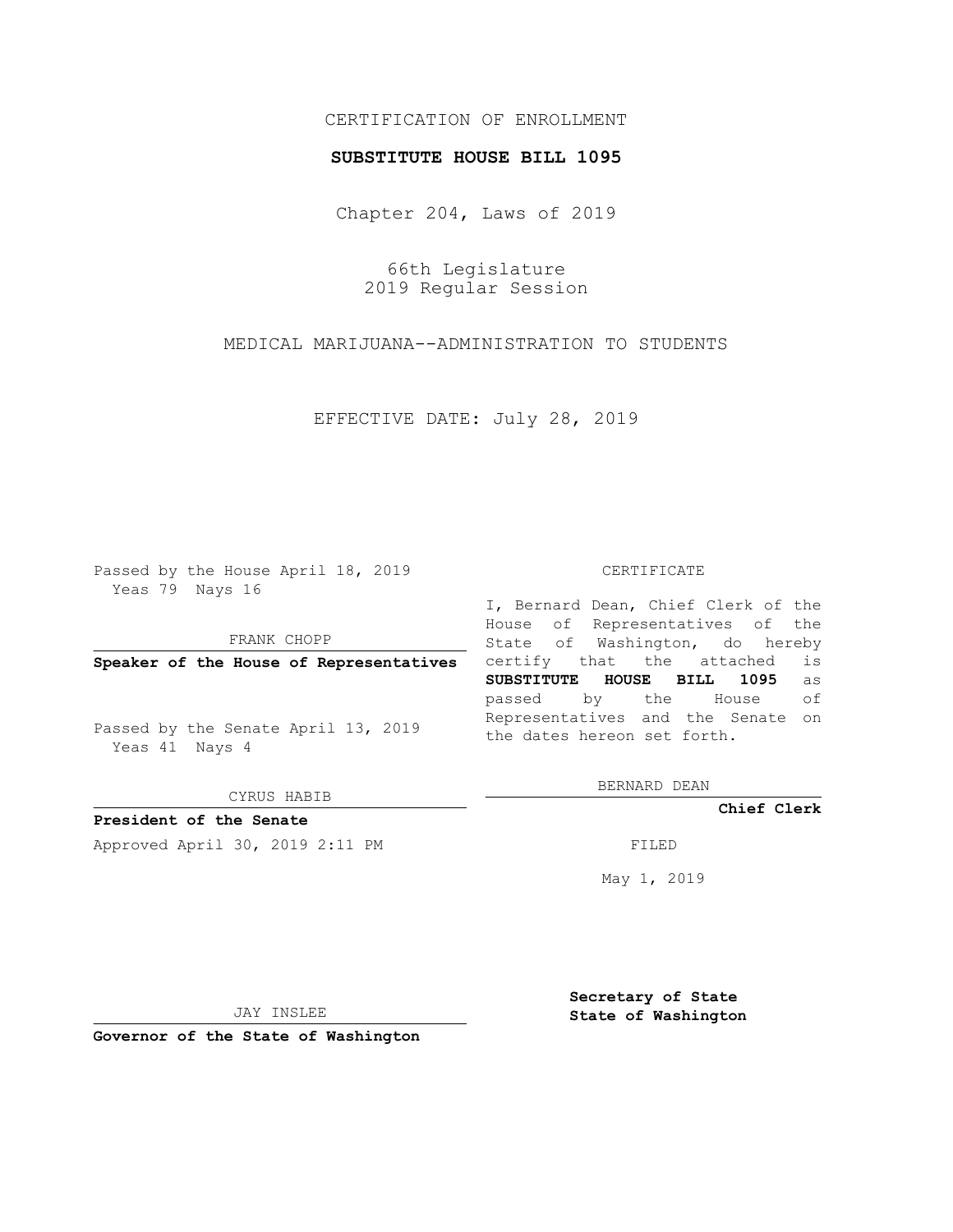## CERTIFICATION OF ENROLLMENT

## **SUBSTITUTE HOUSE BILL 1095**

Chapter 204, Laws of 2019

66th Legislature 2019 Regular Session

MEDICAL MARIJUANA--ADMINISTRATION TO STUDENTS

EFFECTIVE DATE: July 28, 2019

Passed by the House April 18, 2019 Yeas 79 Nays 16

FRANK CHOPP

**Speaker of the House of Representatives**

Passed by the Senate April 13, 2019 Yeas 41 Nays 4

CYRUS HABIB

**President of the Senate**

Approved April 30, 2019 2:11 PM FILED

#### CERTIFICATE

I, Bernard Dean, Chief Clerk of the House of Representatives of the State of Washington, do hereby certify that the attached is **SUBSTITUTE HOUSE BILL 1095** as passed by the House of Representatives and the Senate on the dates hereon set forth.

BERNARD DEAN

**Chief Clerk**

May 1, 2019

JAY INSLEE

**Governor of the State of Washington**

**Secretary of State State of Washington**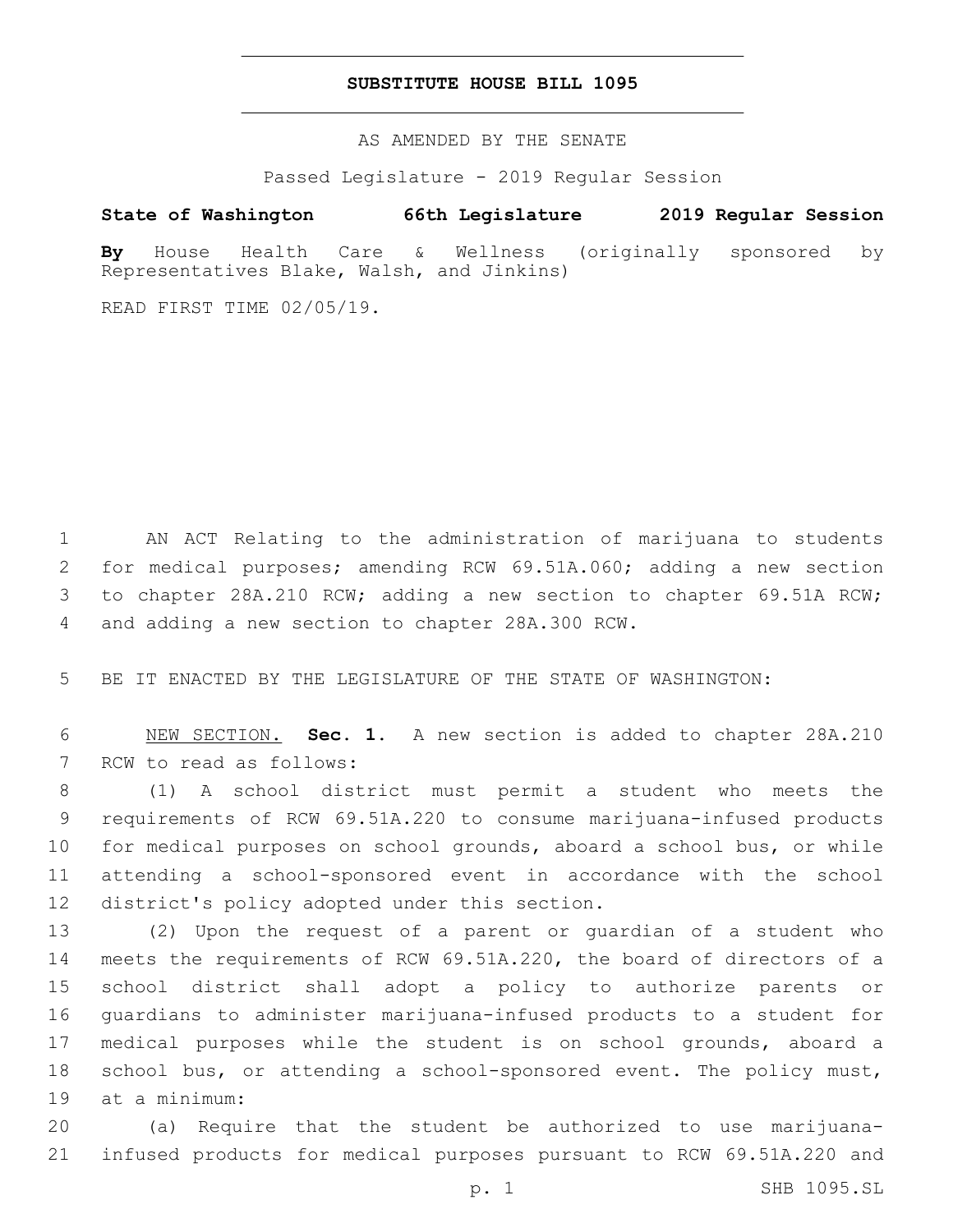## **SUBSTITUTE HOUSE BILL 1095**

AS AMENDED BY THE SENATE

Passed Legislature - 2019 Regular Session

# **State of Washington 66th Legislature 2019 Regular Session**

**By** House Health Care & Wellness (originally sponsored by Representatives Blake, Walsh, and Jinkins)

READ FIRST TIME 02/05/19.

 AN ACT Relating to the administration of marijuana to students for medical purposes; amending RCW 69.51A.060; adding a new section to chapter 28A.210 RCW; adding a new section to chapter 69.51A RCW; 4 and adding a new section to chapter 28A.300 RCW.

5 BE IT ENACTED BY THE LEGISLATURE OF THE STATE OF WASHINGTON:

6 NEW SECTION. **Sec. 1.** A new section is added to chapter 28A.210 7 RCW to read as follows:

 (1) A school district must permit a student who meets the requirements of RCW 69.51A.220 to consume marijuana-infused products for medical purposes on school grounds, aboard a school bus, or while attending a school-sponsored event in accordance with the school 12 district's policy adopted under this section.

 (2) Upon the request of a parent or guardian of a student who meets the requirements of RCW 69.51A.220, the board of directors of a school district shall adopt a policy to authorize parents or guardians to administer marijuana-infused products to a student for medical purposes while the student is on school grounds, aboard a school bus, or attending a school-sponsored event. The policy must, 19 at a minimum:

20 (a) Require that the student be authorized to use marijuana-21 infused products for medical purposes pursuant to RCW 69.51A.220 and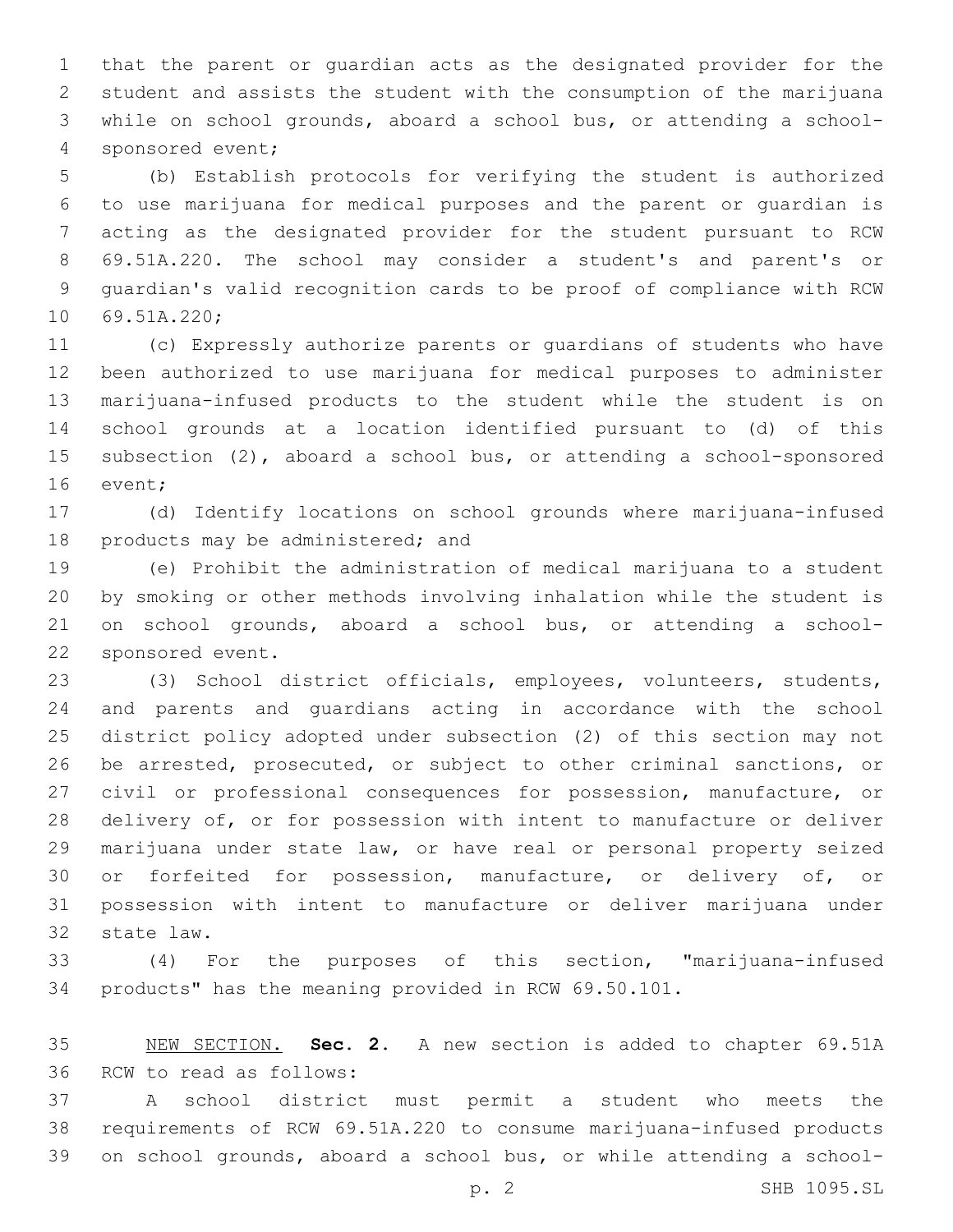that the parent or guardian acts as the designated provider for the student and assists the student with the consumption of the marijuana while on school grounds, aboard a school bus, or attending a school-4 sponsored event;

 (b) Establish protocols for verifying the student is authorized to use marijuana for medical purposes and the parent or guardian is acting as the designated provider for the student pursuant to RCW 69.51A.220. The school may consider a student's and parent's or guardian's valid recognition cards to be proof of compliance with RCW 10 69.51A.220;

 (c) Expressly authorize parents or guardians of students who have been authorized to use marijuana for medical purposes to administer marijuana-infused products to the student while the student is on school grounds at a location identified pursuant to (d) of this subsection (2), aboard a school bus, or attending a school-sponsored 16 event;

 (d) Identify locations on school grounds where marijuana-infused 18 products may be administered; and

 (e) Prohibit the administration of medical marijuana to a student by smoking or other methods involving inhalation while the student is on school grounds, aboard a school bus, or attending a school-22 sponsored event.

 (3) School district officials, employees, volunteers, students, and parents and guardians acting in accordance with the school district policy adopted under subsection (2) of this section may not be arrested, prosecuted, or subject to other criminal sanctions, or civil or professional consequences for possession, manufacture, or delivery of, or for possession with intent to manufacture or deliver marijuana under state law, or have real or personal property seized or forfeited for possession, manufacture, or delivery of, or possession with intent to manufacture or deliver marijuana under 32 state law.

 (4) For the purposes of this section, "marijuana-infused products" has the meaning provided in RCW 69.50.101.

 NEW SECTION. **Sec. 2.** A new section is added to chapter 69.51A 36 RCW to read as follows:

 A school district must permit a student who meets the requirements of RCW 69.51A.220 to consume marijuana-infused products on school grounds, aboard a school bus, or while attending a school-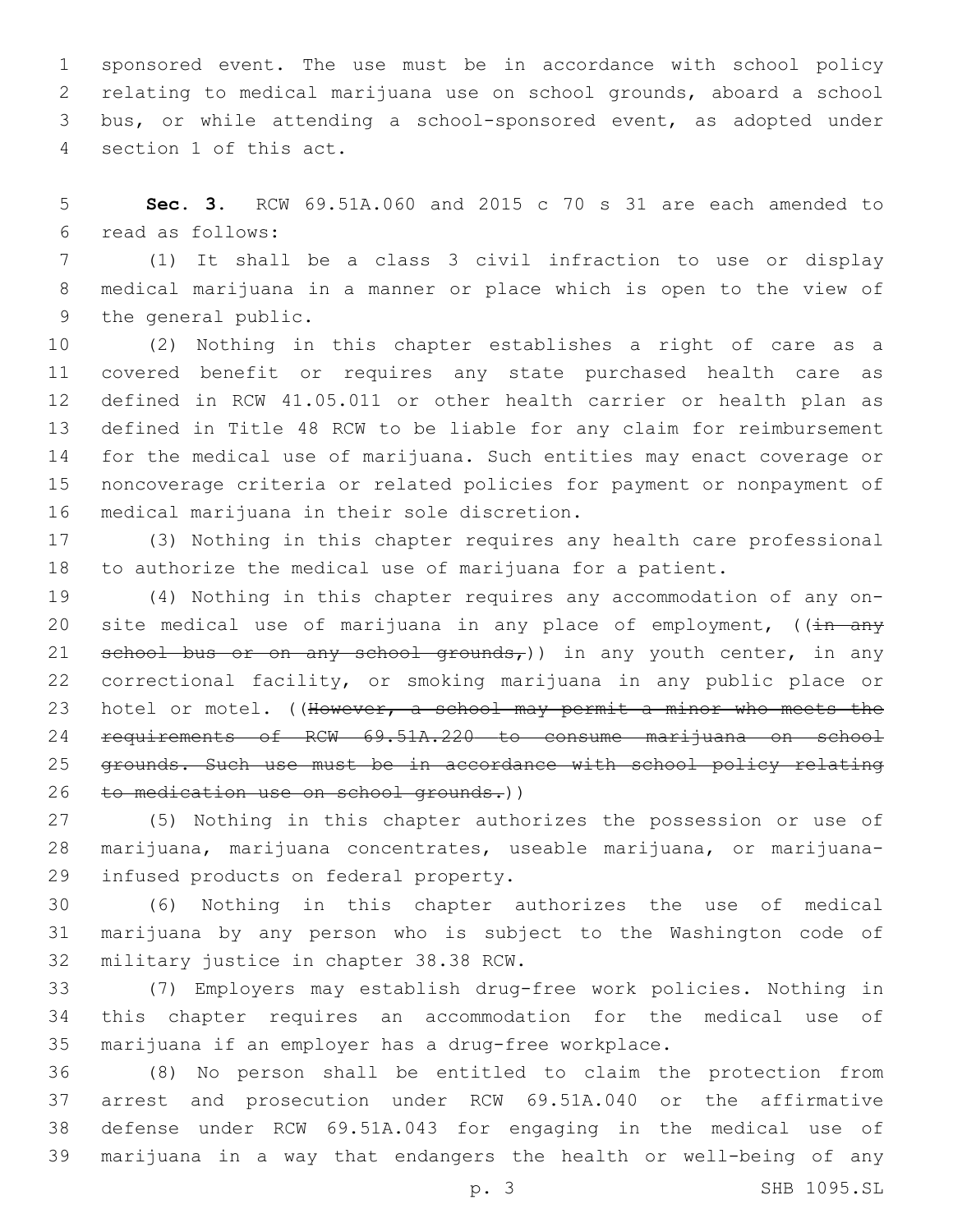sponsored event. The use must be in accordance with school policy relating to medical marijuana use on school grounds, aboard a school bus, or while attending a school-sponsored event, as adopted under 4 section 1 of this act.

 **Sec. 3.** RCW 69.51A.060 and 2015 c 70 s 31 are each amended to read as follows:6

 (1) It shall be a class 3 civil infraction to use or display medical marijuana in a manner or place which is open to the view of 9 the general public.

 (2) Nothing in this chapter establishes a right of care as a covered benefit or requires any state purchased health care as defined in RCW 41.05.011 or other health carrier or health plan as defined in Title 48 RCW to be liable for any claim for reimbursement for the medical use of marijuana. Such entities may enact coverage or noncoverage criteria or related policies for payment or nonpayment of 16 medical marijuana in their sole discretion.

 (3) Nothing in this chapter requires any health care professional to authorize the medical use of marijuana for a patient.

 (4) Nothing in this chapter requires any accommodation of any on-20 site medical use of marijuana in any place of employment,  $((\frac{1}{11} + \frac{1}{21})$ 21 school bus or on any school grounds,)) in any youth center, in any correctional facility, or smoking marijuana in any public place or 23 hotel or motel. ((However, a school may permit a minor who meets the requirements of RCW 69.51A.220 to consume marijuana on school grounds. Such use must be in accordance with school policy relating 26 to medication use on school grounds.))

 (5) Nothing in this chapter authorizes the possession or use of marijuana, marijuana concentrates, useable marijuana, or marijuana-29 infused products on federal property.

 (6) Nothing in this chapter authorizes the use of medical marijuana by any person who is subject to the Washington code of 32 military justice in chapter 38.38 RCW.

 (7) Employers may establish drug-free work policies. Nothing in this chapter requires an accommodation for the medical use of marijuana if an employer has a drug-free workplace.

 (8) No person shall be entitled to claim the protection from arrest and prosecution under RCW 69.51A.040 or the affirmative defense under RCW 69.51A.043 for engaging in the medical use of marijuana in a way that endangers the health or well-being of any

p. 3 SHB 1095.SL